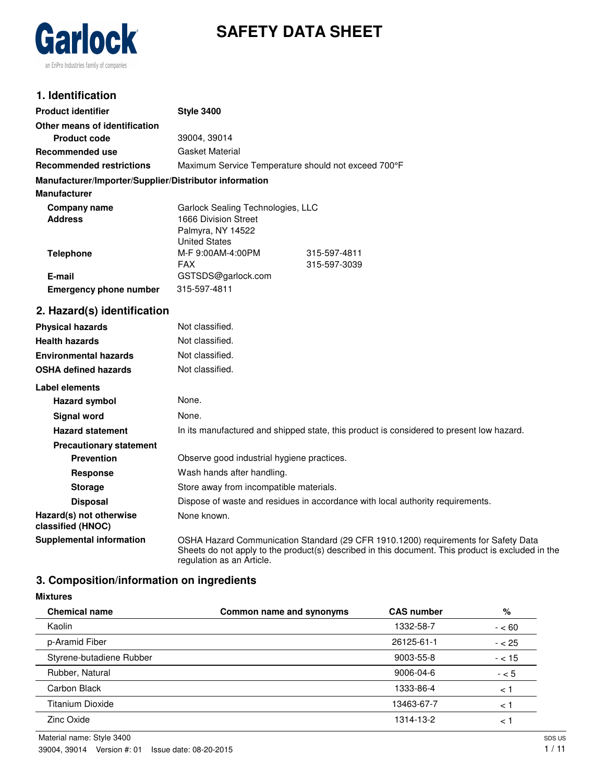

# **SAFETY DATA SHEET**

# **1. Identification**

| <b>Product identifier</b>                              | <b>Style 3400</b>                                                              |                                                                                          |
|--------------------------------------------------------|--------------------------------------------------------------------------------|------------------------------------------------------------------------------------------|
| Other means of identification                          |                                                                                |                                                                                          |
| <b>Product code</b>                                    | 39004, 39014                                                                   |                                                                                          |
| <b>Recommended use</b>                                 | <b>Gasket Material</b>                                                         |                                                                                          |
| <b>Recommended restrictions</b>                        | Maximum Service Temperature should not exceed 700°F                            |                                                                                          |
| Manufacturer/Importer/Supplier/Distributor information |                                                                                |                                                                                          |
| <b>Manufacturer</b>                                    |                                                                                |                                                                                          |
| <b>Company name</b><br><b>Address</b>                  | Garlock Sealing Technologies, LLC<br>1666 Division Street<br>Palmyra, NY 14522 |                                                                                          |
| <b>Telephone</b>                                       | <b>United States</b><br>M-F 9:00AM-4:00PM<br><b>FAX</b>                        | 315-597-4811<br>315-597-3039                                                             |
| E-mail                                                 | GSTSDS@garlock.com                                                             |                                                                                          |
| <b>Emergency phone number</b>                          | 315-597-4811                                                                   |                                                                                          |
| 2. Hazard(s) identification                            |                                                                                |                                                                                          |
| <b>Physical hazards</b>                                | Not classified.                                                                |                                                                                          |
| <b>Health hazards</b>                                  | Not classified.                                                                |                                                                                          |
| <b>Environmental hazards</b>                           | Not classified.                                                                |                                                                                          |
| <b>OSHA defined hazards</b>                            | Not classified.                                                                |                                                                                          |
| Label elements                                         |                                                                                |                                                                                          |
| Hazard symbol                                          | None.                                                                          |                                                                                          |
| <b>Signal word</b>                                     | None.                                                                          |                                                                                          |
| <b>Hazard statement</b>                                |                                                                                | In its manufactured and shipped state, this product is considered to present low hazard. |
| <b>Precautionary statement</b>                         |                                                                                |                                                                                          |
| <b>Prevention</b>                                      | Observe good industrial hygiene practices.                                     |                                                                                          |
| Response                                               | Wash hands after handling.                                                     |                                                                                          |
| <b>Storage</b>                                         | Store away from incompatible materials.                                        |                                                                                          |
|                                                        |                                                                                |                                                                                          |

**Disposal** Dispose of waste and residues in accordance with local authority requirements.

**Hazard(s) not otherwise classified (HNOC)** None known.

**Mixtures**

**Supplemental information** OSHA Hazard Communication Standard (29 CFR 1910.1200) requirements for Safety Data Sheets do not apply to the product(s) described in this document. This product is excluded in the regulation as an Article.

# **3. Composition/information on ingredients**

| <b>Chemical name</b>     | Common name and synonyms | <b>CAS number</b> | %        |
|--------------------------|--------------------------|-------------------|----------|
| Kaolin                   |                          | 1332-58-7         | $- < 60$ |
| p-Aramid Fiber           |                          | 26125-61-1        | $- < 25$ |
| Styrene-butadiene Rubber |                          | 9003-55-8         | $- < 15$ |
| Rubber, Natural          |                          | 9006-04-6         | $- < 5$  |
| Carbon Black             |                          | 1333-86-4         | < 1      |
| Titanium Dioxide         |                          | 13463-67-7        | < 1      |
| Zinc Oxide               |                          | 1314-13-2         | $\lt$    |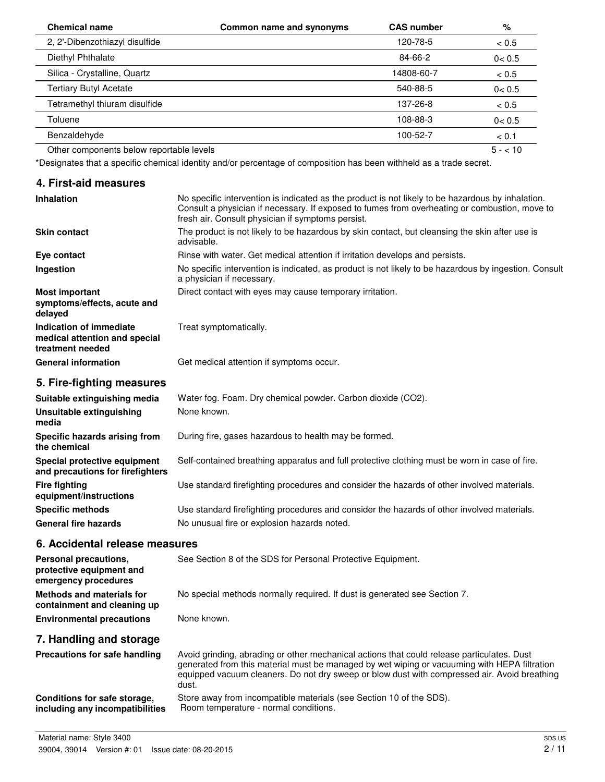| <b>Chemical name</b>                     | Common name and synonyms | <b>CAS number</b> | %        |
|------------------------------------------|--------------------------|-------------------|----------|
| 2, 2'-Dibenzothiazyl disulfide           |                          | 120-78-5          | < 0.5    |
| Diethyl Phthalate                        |                          | 84-66-2           | 0 < 0.5  |
| Silica - Crystalline, Quartz             |                          | 14808-60-7        | < 0.5    |
| <b>Tertiary Butyl Acetate</b>            |                          | 540-88-5          | 0 < 0.5  |
| Tetramethyl thiuram disulfide            |                          | 137-26-8          | < 0.5    |
| Toluene                                  |                          | 108-88-3          | 0 < 0.5  |
| Benzaldehyde                             |                          | 100-52-7          | < 0.1    |
| Other components below reportable levels |                          |                   | $5 - 10$ |

\*Designates that a specific chemical identity and/or percentage of composition has been withheld as a trade secret.

### **4. First-aid measures**

| <b>Inhalation</b>                                                            | No specific intervention is indicated as the product is not likely to be hazardous by inhalation.<br>Consult a physician if necessary. If exposed to fumes from overheating or combustion, move to<br>fresh air. Consult physician if symptoms persist. |
|------------------------------------------------------------------------------|---------------------------------------------------------------------------------------------------------------------------------------------------------------------------------------------------------------------------------------------------------|
| <b>Skin contact</b>                                                          | The product is not likely to be hazardous by skin contact, but cleansing the skin after use is<br>advisable.                                                                                                                                            |
| Eye contact                                                                  | Rinse with water. Get medical attention if irritation develops and persists.                                                                                                                                                                            |
| Ingestion                                                                    | No specific intervention is indicated, as product is not likely to be hazardous by ingestion. Consult<br>a physician if necessary.                                                                                                                      |
| <b>Most important</b><br>symptoms/effects, acute and<br>delayed              | Direct contact with eyes may cause temporary irritation.                                                                                                                                                                                                |
| Indication of immediate<br>medical attention and special<br>treatment needed | Treat symptomatically.                                                                                                                                                                                                                                  |
| <b>General information</b>                                                   | Get medical attention if symptoms occur.                                                                                                                                                                                                                |
| 5. Fire-fighting measures                                                    |                                                                                                                                                                                                                                                         |
| Suitable extinguishing media                                                 | Water fog. Foam. Dry chemical powder. Carbon dioxide (CO2).                                                                                                                                                                                             |
| الممتلولة الممتلئية الملمانية والملحقان والمسارا                             | Nano known                                                                                                                                                                                                                                              |

| Unsuitable extinguishing<br>media                                | None known.                                                                                   |
|------------------------------------------------------------------|-----------------------------------------------------------------------------------------------|
| Specific hazards arising from<br>the chemical                    | During fire, gases hazardous to health may be formed.                                         |
| Special protective equipment<br>and precautions for firefighters | Self-contained breathing apparatus and full protective clothing must be worn in case of fire. |
| <b>Fire fighting</b><br>equipment/instructions                   | Use standard firefighting procedures and consider the hazards of other involved materials.    |
| <b>Specific methods</b>                                          | Use standard firefighting procedures and consider the hazards of other involved materials.    |
| <b>General fire hazards</b>                                      | No unusual fire or explosion hazards noted.                                                   |

#### **6. Accidental release measures**

| Personal precautions.<br>protective equipment and<br>emergency procedures | See Section 8 of the SDS for Personal Protective Equipment.                                                                                                                                                                                                                                         |
|---------------------------------------------------------------------------|-----------------------------------------------------------------------------------------------------------------------------------------------------------------------------------------------------------------------------------------------------------------------------------------------------|
| <b>Methods and materials for</b><br>containment and cleaning up           | No special methods normally required. If dust is generated see Section 7.                                                                                                                                                                                                                           |
| <b>Environmental precautions</b>                                          | None known.                                                                                                                                                                                                                                                                                         |
| 7. Handling and storage                                                   |                                                                                                                                                                                                                                                                                                     |
| Precautions for safe handling                                             | Avoid grinding, abrading or other mechanical actions that could release particulates. Dust<br>generated from this material must be managed by wet wiping or vacuuming with HEPA filtration<br>equipped vacuum cleaners. Do not dry sweep or blow dust with compressed air. Avoid breathing<br>dust. |
| Conditions for safe storage,<br>including any incompatibilities           | Store away from incompatible materials (see Section 10 of the SDS).<br>Room temperature - normal conditions.                                                                                                                                                                                        |

**including any incompatibilities**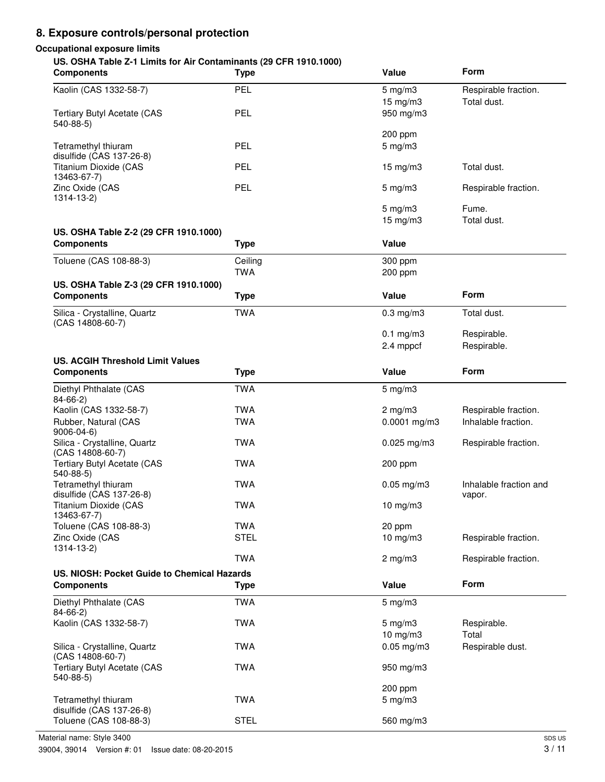# **8. Exposure controls/personal protection**

### **Occupational exposure limits**

#### **US. OSHA Table Z-1 Limits for Air Contaminants (29 CFR 1910.1000)**

| <b>Components</b>                           | <b>Type</b> | Value              | Form                   |
|---------------------------------------------|-------------|--------------------|------------------------|
| Kaolin (CAS 1332-58-7)                      | PEL         | $5$ mg/m $3$       | Respirable fraction.   |
|                                             |             | 15 mg/m3           | Total dust.            |
| <b>Tertiary Butyl Acetate (CAS</b>          | PEL         | 950 mg/m3          |                        |
| $540-88-5$                                  |             |                    |                        |
|                                             |             | 200 ppm            |                        |
| Tetramethyl thiuram                         | PEL         | $5$ mg/m $3$       |                        |
| disulfide (CAS 137-26-8)                    |             |                    |                        |
| Titanium Dioxide (CAS                       | PEL         | 15 mg/m3           | Total dust.            |
| 13463-67-7)                                 |             |                    |                        |
| Zinc Oxide (CAS                             | PEL         | $5$ mg/m $3$       | Respirable fraction.   |
| $1314 - 13 - 2$                             |             |                    |                        |
|                                             |             | $5 \text{ mg/m}$ 3 | Fume.                  |
|                                             |             | 15 mg/m3           | Total dust.            |
| US. OSHA Table Z-2 (29 CFR 1910.1000)       |             |                    |                        |
| <b>Components</b>                           | <b>Type</b> | Value              |                        |
| Toluene (CAS 108-88-3)                      | Ceiling     | 300 ppm            |                        |
|                                             | <b>TWA</b>  | 200 ppm            |                        |
| US. OSHA Table Z-3 (29 CFR 1910.1000)       |             |                    |                        |
| <b>Components</b>                           | <b>Type</b> | Value              | Form                   |
| Silica - Crystalline, Quartz                | <b>TWA</b>  | $0.3$ mg/m $3$     | Total dust.            |
| (CAS 14808-60-7)                            |             |                    |                        |
|                                             |             | $0.1$ mg/m3        | Respirable.            |
|                                             |             | 2.4 mppcf          | Respirable.            |
| <b>US. ACGIH Threshold Limit Values</b>     |             |                    |                        |
| <b>Components</b>                           | <b>Type</b> | Value              | Form                   |
| Diethyl Phthalate (CAS                      | <b>TWA</b>  | $5 \text{ mg/m}$ 3 |                        |
| $84 - 66 - 2$                               |             |                    |                        |
| Kaolin (CAS 1332-58-7)                      | <b>TWA</b>  | $2$ mg/m $3$       | Respirable fraction.   |
| Rubber, Natural (CAS                        | <b>TWA</b>  | $0.0001$ mg/m3     | Inhalable fraction.    |
| $9006 - 04 - 6$                             |             |                    |                        |
| Silica - Crystalline, Quartz                | <b>TWA</b>  | $0.025$ mg/m3      | Respirable fraction.   |
| (CAS 14808-60-7)                            |             |                    |                        |
| <b>Tertiary Butyl Acetate (CAS</b>          | <b>TWA</b>  | 200 ppm            |                        |
| $540-88-5$                                  |             |                    |                        |
| Tetramethyl thiuram                         | <b>TWA</b>  | $0.05$ mg/m $3$    | Inhalable fraction and |
| disulfide (CAS 137-26-8)                    |             |                    | vapor.                 |
| Titanium Dioxide (CAS<br>13463-67-7)        | <b>TWA</b>  | 10 $mg/m3$         |                        |
| Toluene (CAS 108-88-3)                      | <b>TWA</b>  | 20 ppm             |                        |
| Zinc Oxide (CAS                             | <b>STEL</b> | 10 mg/m3           |                        |
| $1314 - 13 - 2$                             |             |                    | Respirable fraction.   |
|                                             | <b>TWA</b>  | $2$ mg/m $3$       | Respirable fraction.   |
|                                             |             |                    |                        |
| US. NIOSH: Pocket Guide to Chemical Hazards |             |                    | Form                   |
| <b>Components</b>                           | <b>Type</b> | Value              |                        |
| Diethyl Phthalate (CAS                      | <b>TWA</b>  | $5 \text{ mg/m}$ 3 |                        |
| $84 - 66 - 2$                               |             |                    |                        |
| Kaolin (CAS 1332-58-7)                      | <b>TWA</b>  | $5 \text{ mg/m}$ 3 | Respirable.            |
|                                             |             | 10 mg/m3           | Total                  |
| Silica - Crystalline, Quartz                | <b>TWA</b>  | $0.05$ mg/m $3$    | Respirable dust.       |
| (CAS 14808-60-7)                            |             |                    |                        |
| <b>Tertiary Butyl Acetate (CAS</b>          | <b>TWA</b>  | 950 mg/m3          |                        |
| $540-88-5$                                  |             |                    |                        |
|                                             |             | 200 ppm            |                        |
| Tetramethyl thiuram                         | <b>TWA</b>  | $5 \text{ mg/m}$ 3 |                        |
| disulfide (CAS 137-26-8)                    |             |                    |                        |
| Toluene (CAS 108-88-3)                      | <b>STEL</b> | 560 mg/m3          |                        |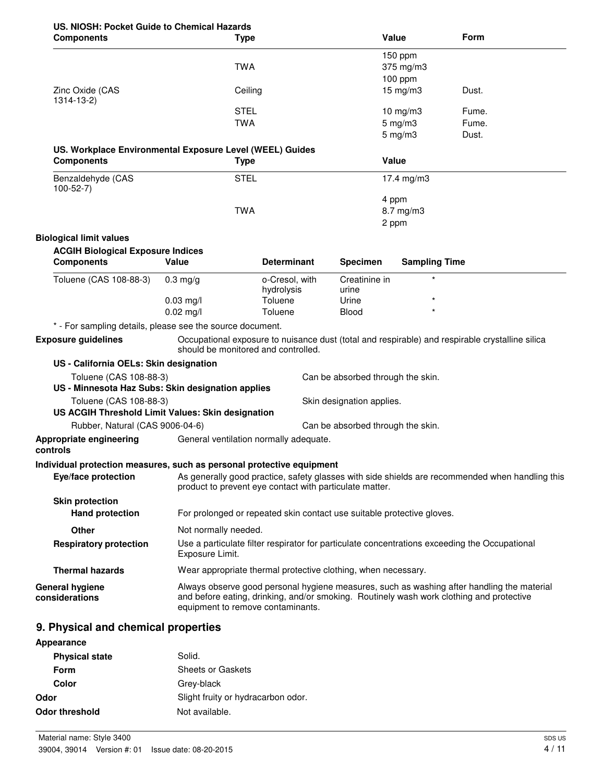# **US. NIOSH: Pocket Guide to Chemical Hazards**

| <b>Components</b>                                                             | <b>Type</b>                                                            |                              |                                   | Value                | Form                                                                                                                                                                                   |
|-------------------------------------------------------------------------------|------------------------------------------------------------------------|------------------------------|-----------------------------------|----------------------|----------------------------------------------------------------------------------------------------------------------------------------------------------------------------------------|
|                                                                               | <b>TWA</b>                                                             |                              |                                   | 150 ppm<br>375 mg/m3 |                                                                                                                                                                                        |
| Zinc Oxide (CAS<br>1314-13-2)                                                 | Ceiling                                                                |                              |                                   | 100 ppm<br>15 mg/m3  | Dust.                                                                                                                                                                                  |
|                                                                               | <b>STEL</b>                                                            |                              |                                   | 10 mg/m3             | Fume.                                                                                                                                                                                  |
|                                                                               | <b>TWA</b>                                                             |                              |                                   | $5$ mg/m $3$         | Fume.                                                                                                                                                                                  |
|                                                                               |                                                                        |                              |                                   | $5$ mg/m $3$         | Dust.                                                                                                                                                                                  |
| US. Workplace Environmental Exposure Level (WEEL) Guides<br><b>Components</b> | <b>Type</b>                                                            |                              |                                   | Value                |                                                                                                                                                                                        |
| Benzaldehyde (CAS<br>$100 - 52 - 7$                                           | <b>STEL</b>                                                            |                              |                                   | 17.4 mg/m3           |                                                                                                                                                                                        |
|                                                                               |                                                                        |                              |                                   | 4 ppm                |                                                                                                                                                                                        |
|                                                                               | <b>TWA</b>                                                             |                              |                                   | 8.7 mg/m3            |                                                                                                                                                                                        |
|                                                                               |                                                                        |                              |                                   | 2 ppm                |                                                                                                                                                                                        |
| <b>Biological limit values</b>                                                |                                                                        |                              |                                   |                      |                                                                                                                                                                                        |
| <b>ACGIH Biological Exposure Indices</b><br><b>Components</b>                 | Value                                                                  | <b>Determinant</b>           | <b>Specimen</b>                   | <b>Sampling Time</b> |                                                                                                                                                                                        |
| Toluene (CAS 108-88-3)                                                        | $0.3 \text{ mg/g}$                                                     | o-Cresol, with<br>hydrolysis | Creatinine in<br>urine            | $\star$              |                                                                                                                                                                                        |
|                                                                               | $0.03$ mg/l                                                            | Toluene                      | Urine                             | $\star$<br>$\star$   |                                                                                                                                                                                        |
|                                                                               | $0.02$ mg/l                                                            | Toluene                      | <b>Blood</b>                      |                      |                                                                                                                                                                                        |
| * - For sampling details, please see the source document.                     |                                                                        |                              |                                   |                      |                                                                                                                                                                                        |
| <b>Exposure guidelines</b>                                                    | should be monitored and controlled.                                    |                              |                                   |                      | Occupational exposure to nuisance dust (total and respirable) and respirable crystalline silica                                                                                        |
| US - California OELs: Skin designation                                        |                                                                        |                              |                                   |                      |                                                                                                                                                                                        |
| Toluene (CAS 108-88-3)<br>US - Minnesota Haz Subs: Skin designation applies   |                                                                        |                              | Can be absorbed through the skin. |                      |                                                                                                                                                                                        |
| Toluene (CAS 108-88-3)<br>US ACGIH Threshold Limit Values: Skin designation   |                                                                        |                              | Skin designation applies.         |                      |                                                                                                                                                                                        |
| Rubber, Natural (CAS 9006-04-6)                                               |                                                                        |                              | Can be absorbed through the skin. |                      |                                                                                                                                                                                        |
| Appropriate engineering<br>controls                                           | General ventilation normally adequate.                                 |                              |                                   |                      |                                                                                                                                                                                        |
| Individual protection measures, such as personal protective equipment         |                                                                        |                              |                                   |                      |                                                                                                                                                                                        |
| Eye/face protection                                                           | product to prevent eye contact with particulate matter.                |                              |                                   |                      | As generally good practice, safety glasses with side shields are recommended when handling this                                                                                        |
| <b>Skin protection</b><br><b>Hand protection</b>                              | For prolonged or repeated skin contact use suitable protective gloves. |                              |                                   |                      |                                                                                                                                                                                        |
| Other                                                                         | Not normally needed.                                                   |                              |                                   |                      |                                                                                                                                                                                        |
| <b>Respiratory protection</b>                                                 | Exposure Limit.                                                        |                              |                                   |                      | Use a particulate filter respirator for particulate concentrations exceeding the Occupational                                                                                          |
| <b>Thermal hazards</b>                                                        | Wear appropriate thermal protective clothing, when necessary.          |                              |                                   |                      |                                                                                                                                                                                        |
| <b>General hygiene</b><br>considerations                                      | equipment to remove contaminants.                                      |                              |                                   |                      | Always observe good personal hygiene measures, such as washing after handling the material<br>and before eating, drinking, and/or smoking. Routinely wash work clothing and protective |
| 9. Physical and chemical properties                                           |                                                                        |                              |                                   |                      |                                                                                                                                                                                        |
| $A$ nnooronoo                                                                 |                                                                        |                              |                                   |                      |                                                                                                                                                                                        |

| Appearance            |                                    |
|-----------------------|------------------------------------|
| <b>Physical state</b> | Solid.                             |
| <b>Form</b>           | Sheets or Gaskets                  |
| Color                 | Grey-black                         |
| Odor                  | Slight fruity or hydracarbon odor. |
| Odor threshold        | Not available.                     |
|                       |                                    |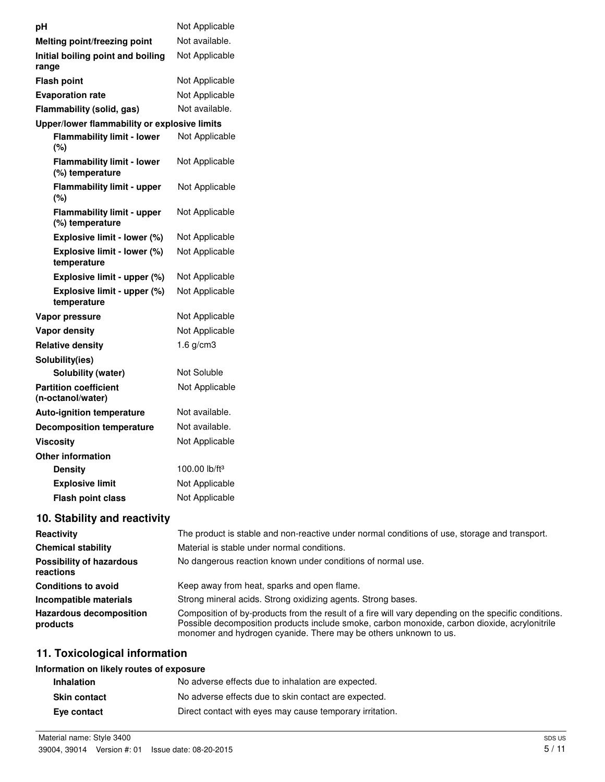| pН                                                   | Not Applicable                                                                                |
|------------------------------------------------------|-----------------------------------------------------------------------------------------------|
| Melting point/freezing point                         | Not available.                                                                                |
| Initial boiling point and boiling<br>range           | Not Applicable                                                                                |
| <b>Flash point</b>                                   | Not Applicable                                                                                |
| <b>Evaporation rate</b>                              | Not Applicable                                                                                |
| Flammability (solid, gas)                            | Not available.                                                                                |
| Upper/lower flammability or explosive limits         |                                                                                               |
| <b>Flammability limit - lower</b><br>(%)             | Not Applicable                                                                                |
| <b>Flammability limit - lower</b><br>(%) temperature | Not Applicable                                                                                |
| <b>Flammability limit - upper</b><br>(%)             | Not Applicable                                                                                |
| <b>Flammability limit - upper</b><br>(%) temperature | Not Applicable                                                                                |
| Explosive limit - lower (%)                          | Not Applicable                                                                                |
| Explosive limit - lower (%)<br>temperature           | Not Applicable                                                                                |
| Explosive limit - upper (%)                          | Not Applicable                                                                                |
| Explosive limit - upper (%)<br>temperature           | Not Applicable                                                                                |
| Vapor pressure                                       | Not Applicable                                                                                |
| <b>Vapor density</b>                                 | Not Applicable                                                                                |
| <b>Relative density</b>                              | $1.6$ g/cm3                                                                                   |
| Solubility(ies)                                      |                                                                                               |
| Solubility (water)                                   | Not Soluble                                                                                   |
| <b>Partition coefficient</b><br>(n-octanol/water)    | Not Applicable                                                                                |
| <b>Auto-ignition temperature</b>                     | Not available.                                                                                |
| <b>Decomposition temperature</b>                     | Not available.                                                                                |
| <b>Viscosity</b>                                     | Not Applicable                                                                                |
| Other information                                    |                                                                                               |
| <b>Density</b>                                       | 100.00 lb/ft <sup>3</sup>                                                                     |
| <b>Explosive limit</b>                               | Not Applicable                                                                                |
| Flash point class                                    | Not Applicable                                                                                |
| 10. Stability and reactivity                         |                                                                                               |
| Reactivity                                           | The product is stable and non-reactive under normal conditions of use, storage and transport. |
| <b>Chemical stability</b>                            | Material is stable under normal conditions.                                                   |

| <b>Chemical stability</b>                    | Material is stable under normal conditions.                                                                                                                                                                                                                               |
|----------------------------------------------|---------------------------------------------------------------------------------------------------------------------------------------------------------------------------------------------------------------------------------------------------------------------------|
| <b>Possibility of hazardous</b><br>reactions | No dangerous reaction known under conditions of normal use.                                                                                                                                                                                                               |
| <b>Conditions to avoid</b>                   | Keep away from heat, sparks and open flame.                                                                                                                                                                                                                               |
| Incompatible materials                       | Strong mineral acids. Strong oxidizing agents. Strong bases.                                                                                                                                                                                                              |
| <b>Hazardous decomposition</b><br>products   | Composition of by-products from the result of a fire will vary depending on the specific conditions.<br>Possible decomposition products include smoke, carbon monoxide, carbon dioxide, acrylonitrile<br>monomer and hydrogen cyanide. There may be others unknown to us. |

# **11. Toxicological information**

# **Information on likely routes of exposure**

| <b>Inhalation</b>   | No adverse effects due to inhalation are expected.       |
|---------------------|----------------------------------------------------------|
| <b>Skin contact</b> | No adverse effects due to skin contact are expected.     |
| Eye contact         | Direct contact with eyes may cause temporary irritation. |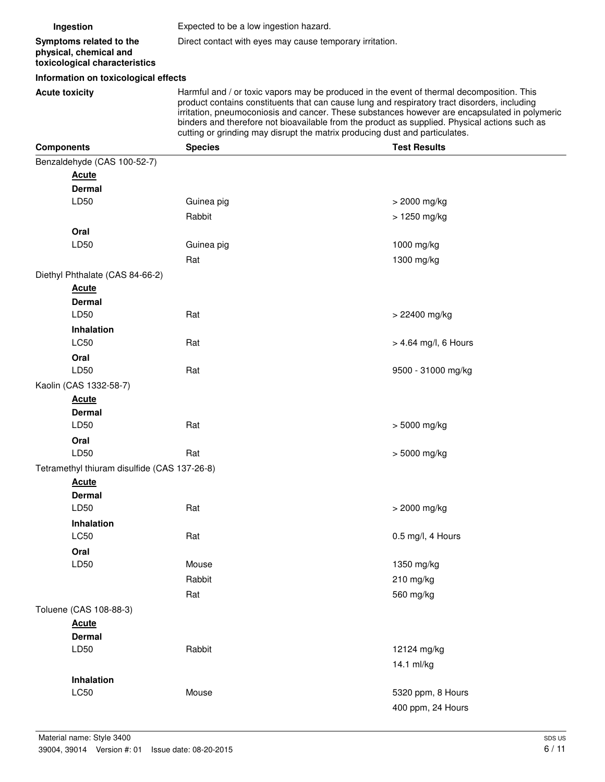| Ingestion                                                                          |                                                 | Expected to be a low ingestion hazard.                                                                                                                                                                                                                                                                                                                                                                                                                                     |                      |  |
|------------------------------------------------------------------------------------|-------------------------------------------------|----------------------------------------------------------------------------------------------------------------------------------------------------------------------------------------------------------------------------------------------------------------------------------------------------------------------------------------------------------------------------------------------------------------------------------------------------------------------------|----------------------|--|
| Symptoms related to the<br>physical, chemical and<br>toxicological characteristics |                                                 | Direct contact with eyes may cause temporary irritation.                                                                                                                                                                                                                                                                                                                                                                                                                   |                      |  |
|                                                                                    | Information on toxicological effects            |                                                                                                                                                                                                                                                                                                                                                                                                                                                                            |                      |  |
| <b>Acute toxicity</b>                                                              |                                                 | Harmful and / or toxic vapors may be produced in the event of thermal decomposition. This<br>product contains constituents that can cause lung and respiratory tract disorders, including<br>irritation, pneumoconiosis and cancer. These substances however are encapsulated in polymeric<br>binders and therefore not bioavailable from the product as supplied. Physical actions such as<br>cutting or grinding may disrupt the matrix producing dust and particulates. |                      |  |
| <b>Components</b>                                                                  |                                                 | <b>Species</b>                                                                                                                                                                                                                                                                                                                                                                                                                                                             | <b>Test Results</b>  |  |
|                                                                                    | Benzaldehyde (CAS 100-52-7)                     |                                                                                                                                                                                                                                                                                                                                                                                                                                                                            |                      |  |
|                                                                                    | <b>Acute</b>                                    |                                                                                                                                                                                                                                                                                                                                                                                                                                                                            |                      |  |
|                                                                                    | <b>Dermal</b>                                   |                                                                                                                                                                                                                                                                                                                                                                                                                                                                            |                      |  |
|                                                                                    | LD50                                            | Guinea pig                                                                                                                                                                                                                                                                                                                                                                                                                                                                 | > 2000 mg/kg         |  |
|                                                                                    |                                                 | Rabbit                                                                                                                                                                                                                                                                                                                                                                                                                                                                     | > 1250 mg/kg         |  |
|                                                                                    | Oral<br>LD50                                    | Guinea pig                                                                                                                                                                                                                                                                                                                                                                                                                                                                 | 1000 mg/kg           |  |
|                                                                                    |                                                 |                                                                                                                                                                                                                                                                                                                                                                                                                                                                            |                      |  |
|                                                                                    |                                                 | Rat                                                                                                                                                                                                                                                                                                                                                                                                                                                                        | 1300 mg/kg           |  |
|                                                                                    | Diethyl Phthalate (CAS 84-66-2)<br><b>Acute</b> |                                                                                                                                                                                                                                                                                                                                                                                                                                                                            |                      |  |
|                                                                                    | <b>Dermal</b>                                   |                                                                                                                                                                                                                                                                                                                                                                                                                                                                            |                      |  |
|                                                                                    | LD50                                            | Rat                                                                                                                                                                                                                                                                                                                                                                                                                                                                        | > 22400 mg/kg        |  |
|                                                                                    | Inhalation                                      |                                                                                                                                                                                                                                                                                                                                                                                                                                                                            |                      |  |
|                                                                                    | <b>LC50</b>                                     | Rat                                                                                                                                                                                                                                                                                                                                                                                                                                                                        | > 4.64 mg/l, 6 Hours |  |
|                                                                                    | Oral                                            |                                                                                                                                                                                                                                                                                                                                                                                                                                                                            |                      |  |
|                                                                                    | LD50                                            | Rat                                                                                                                                                                                                                                                                                                                                                                                                                                                                        | 9500 - 31000 mg/kg   |  |
|                                                                                    | Kaolin (CAS 1332-58-7)                          |                                                                                                                                                                                                                                                                                                                                                                                                                                                                            |                      |  |
|                                                                                    | <u>Acute</u>                                    |                                                                                                                                                                                                                                                                                                                                                                                                                                                                            |                      |  |
|                                                                                    | <b>Dermal</b>                                   |                                                                                                                                                                                                                                                                                                                                                                                                                                                                            |                      |  |
|                                                                                    | LD50                                            | Rat                                                                                                                                                                                                                                                                                                                                                                                                                                                                        | > 5000 mg/kg         |  |
|                                                                                    | Oral                                            |                                                                                                                                                                                                                                                                                                                                                                                                                                                                            |                      |  |
|                                                                                    | LD50                                            | Rat                                                                                                                                                                                                                                                                                                                                                                                                                                                                        | > 5000 mg/kg         |  |
|                                                                                    | Tetramethyl thiuram disulfide (CAS 137-26-8)    |                                                                                                                                                                                                                                                                                                                                                                                                                                                                            |                      |  |
|                                                                                    | <b>Acute</b><br><b>Dermal</b>                   |                                                                                                                                                                                                                                                                                                                                                                                                                                                                            |                      |  |
|                                                                                    | LD50                                            | Rat                                                                                                                                                                                                                                                                                                                                                                                                                                                                        | > 2000 mg/kg         |  |
|                                                                                    | <b>Inhalation</b>                               |                                                                                                                                                                                                                                                                                                                                                                                                                                                                            |                      |  |
|                                                                                    | LC50                                            | Rat                                                                                                                                                                                                                                                                                                                                                                                                                                                                        | 0.5 mg/l, 4 Hours    |  |
|                                                                                    | Oral                                            |                                                                                                                                                                                                                                                                                                                                                                                                                                                                            |                      |  |
|                                                                                    | LD50                                            | Mouse                                                                                                                                                                                                                                                                                                                                                                                                                                                                      | 1350 mg/kg           |  |
|                                                                                    |                                                 | Rabbit                                                                                                                                                                                                                                                                                                                                                                                                                                                                     | 210 mg/kg            |  |
|                                                                                    |                                                 | Rat                                                                                                                                                                                                                                                                                                                                                                                                                                                                        | 560 mg/kg            |  |
|                                                                                    | Toluene (CAS 108-88-3)                          |                                                                                                                                                                                                                                                                                                                                                                                                                                                                            |                      |  |
|                                                                                    | <b>Acute</b>                                    |                                                                                                                                                                                                                                                                                                                                                                                                                                                                            |                      |  |
|                                                                                    | <b>Dermal</b>                                   |                                                                                                                                                                                                                                                                                                                                                                                                                                                                            |                      |  |
|                                                                                    | LD50                                            | Rabbit                                                                                                                                                                                                                                                                                                                                                                                                                                                                     | 12124 mg/kg          |  |
|                                                                                    |                                                 |                                                                                                                                                                                                                                                                                                                                                                                                                                                                            | 14.1 ml/kg           |  |
|                                                                                    | Inhalation                                      |                                                                                                                                                                                                                                                                                                                                                                                                                                                                            |                      |  |
|                                                                                    | LC50                                            | Mouse                                                                                                                                                                                                                                                                                                                                                                                                                                                                      | 5320 ppm, 8 Hours    |  |
|                                                                                    |                                                 |                                                                                                                                                                                                                                                                                                                                                                                                                                                                            | 400 ppm, 24 Hours    |  |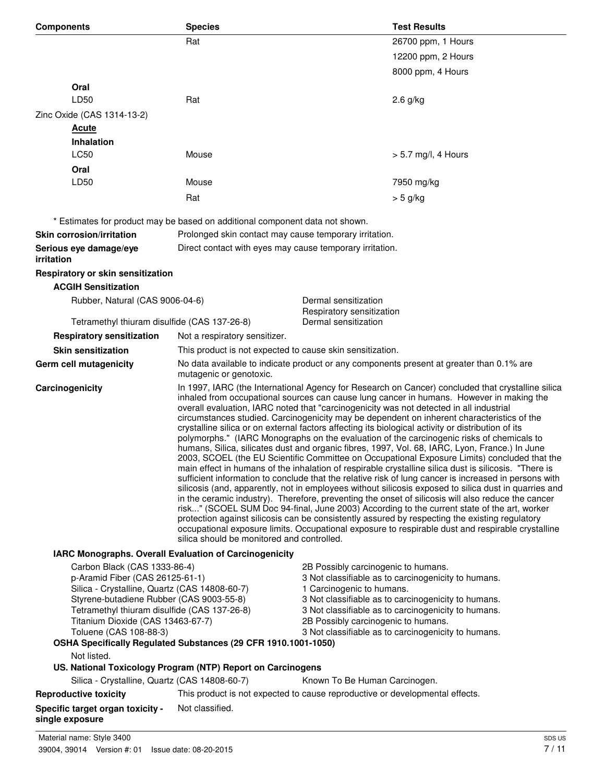| <b>Components</b>                                   | <b>Species</b>                                                                                                                                                                                                                                                                                                                                                                                                                                                                                                                                                                                                                                                                                                                                                                                                                                                                                                                                                                                                                                                                                                                                                                                                                                                                                                                                                                                                                                                                                                                                                                   | <b>Test Results</b>                                                                      |
|-----------------------------------------------------|----------------------------------------------------------------------------------------------------------------------------------------------------------------------------------------------------------------------------------------------------------------------------------------------------------------------------------------------------------------------------------------------------------------------------------------------------------------------------------------------------------------------------------------------------------------------------------------------------------------------------------------------------------------------------------------------------------------------------------------------------------------------------------------------------------------------------------------------------------------------------------------------------------------------------------------------------------------------------------------------------------------------------------------------------------------------------------------------------------------------------------------------------------------------------------------------------------------------------------------------------------------------------------------------------------------------------------------------------------------------------------------------------------------------------------------------------------------------------------------------------------------------------------------------------------------------------------|------------------------------------------------------------------------------------------|
|                                                     | Rat                                                                                                                                                                                                                                                                                                                                                                                                                                                                                                                                                                                                                                                                                                                                                                                                                                                                                                                                                                                                                                                                                                                                                                                                                                                                                                                                                                                                                                                                                                                                                                              | 26700 ppm, 1 Hours                                                                       |
|                                                     |                                                                                                                                                                                                                                                                                                                                                                                                                                                                                                                                                                                                                                                                                                                                                                                                                                                                                                                                                                                                                                                                                                                                                                                                                                                                                                                                                                                                                                                                                                                                                                                  | 12200 ppm, 2 Hours                                                                       |
|                                                     |                                                                                                                                                                                                                                                                                                                                                                                                                                                                                                                                                                                                                                                                                                                                                                                                                                                                                                                                                                                                                                                                                                                                                                                                                                                                                                                                                                                                                                                                                                                                                                                  | 8000 ppm, 4 Hours                                                                        |
| Oral                                                |                                                                                                                                                                                                                                                                                                                                                                                                                                                                                                                                                                                                                                                                                                                                                                                                                                                                                                                                                                                                                                                                                                                                                                                                                                                                                                                                                                                                                                                                                                                                                                                  |                                                                                          |
| LD50                                                | Rat                                                                                                                                                                                                                                                                                                                                                                                                                                                                                                                                                                                                                                                                                                                                                                                                                                                                                                                                                                                                                                                                                                                                                                                                                                                                                                                                                                                                                                                                                                                                                                              | $2.6$ g/kg                                                                               |
| Zinc Oxide (CAS 1314-13-2)                          |                                                                                                                                                                                                                                                                                                                                                                                                                                                                                                                                                                                                                                                                                                                                                                                                                                                                                                                                                                                                                                                                                                                                                                                                                                                                                                                                                                                                                                                                                                                                                                                  |                                                                                          |
|                                                     |                                                                                                                                                                                                                                                                                                                                                                                                                                                                                                                                                                                                                                                                                                                                                                                                                                                                                                                                                                                                                                                                                                                                                                                                                                                                                                                                                                                                                                                                                                                                                                                  |                                                                                          |
| <b>Acute</b><br><b>Inhalation</b>                   |                                                                                                                                                                                                                                                                                                                                                                                                                                                                                                                                                                                                                                                                                                                                                                                                                                                                                                                                                                                                                                                                                                                                                                                                                                                                                                                                                                                                                                                                                                                                                                                  |                                                                                          |
| LC50                                                | Mouse                                                                                                                                                                                                                                                                                                                                                                                                                                                                                                                                                                                                                                                                                                                                                                                                                                                                                                                                                                                                                                                                                                                                                                                                                                                                                                                                                                                                                                                                                                                                                                            | $> 5.7$ mg/l, 4 Hours                                                                    |
|                                                     |                                                                                                                                                                                                                                                                                                                                                                                                                                                                                                                                                                                                                                                                                                                                                                                                                                                                                                                                                                                                                                                                                                                                                                                                                                                                                                                                                                                                                                                                                                                                                                                  |                                                                                          |
| Oral<br>LD50                                        | Mouse                                                                                                                                                                                                                                                                                                                                                                                                                                                                                                                                                                                                                                                                                                                                                                                                                                                                                                                                                                                                                                                                                                                                                                                                                                                                                                                                                                                                                                                                                                                                                                            |                                                                                          |
|                                                     |                                                                                                                                                                                                                                                                                                                                                                                                                                                                                                                                                                                                                                                                                                                                                                                                                                                                                                                                                                                                                                                                                                                                                                                                                                                                                                                                                                                                                                                                                                                                                                                  | 7950 mg/kg                                                                               |
|                                                     | Rat                                                                                                                                                                                                                                                                                                                                                                                                                                                                                                                                                                                                                                                                                                                                                                                                                                                                                                                                                                                                                                                                                                                                                                                                                                                                                                                                                                                                                                                                                                                                                                              | $>$ 5 g/kg                                                                               |
|                                                     | * Estimates for product may be based on additional component data not shown.                                                                                                                                                                                                                                                                                                                                                                                                                                                                                                                                                                                                                                                                                                                                                                                                                                                                                                                                                                                                                                                                                                                                                                                                                                                                                                                                                                                                                                                                                                     |                                                                                          |
| <b>Skin corrosion/irritation</b>                    | Prolonged skin contact may cause temporary irritation.                                                                                                                                                                                                                                                                                                                                                                                                                                                                                                                                                                                                                                                                                                                                                                                                                                                                                                                                                                                                                                                                                                                                                                                                                                                                                                                                                                                                                                                                                                                           |                                                                                          |
| Serious eye damage/eye                              | Direct contact with eyes may cause temporary irritation.                                                                                                                                                                                                                                                                                                                                                                                                                                                                                                                                                                                                                                                                                                                                                                                                                                                                                                                                                                                                                                                                                                                                                                                                                                                                                                                                                                                                                                                                                                                         |                                                                                          |
| <i>irritation</i>                                   |                                                                                                                                                                                                                                                                                                                                                                                                                                                                                                                                                                                                                                                                                                                                                                                                                                                                                                                                                                                                                                                                                                                                                                                                                                                                                                                                                                                                                                                                                                                                                                                  |                                                                                          |
| Respiratory or skin sensitization                   |                                                                                                                                                                                                                                                                                                                                                                                                                                                                                                                                                                                                                                                                                                                                                                                                                                                                                                                                                                                                                                                                                                                                                                                                                                                                                                                                                                                                                                                                                                                                                                                  |                                                                                          |
| <b>ACGIH Sensitization</b>                          |                                                                                                                                                                                                                                                                                                                                                                                                                                                                                                                                                                                                                                                                                                                                                                                                                                                                                                                                                                                                                                                                                                                                                                                                                                                                                                                                                                                                                                                                                                                                                                                  |                                                                                          |
| Rubber, Natural (CAS 9006-04-6)                     |                                                                                                                                                                                                                                                                                                                                                                                                                                                                                                                                                                                                                                                                                                                                                                                                                                                                                                                                                                                                                                                                                                                                                                                                                                                                                                                                                                                                                                                                                                                                                                                  | Dermal sensitization                                                                     |
|                                                     |                                                                                                                                                                                                                                                                                                                                                                                                                                                                                                                                                                                                                                                                                                                                                                                                                                                                                                                                                                                                                                                                                                                                                                                                                                                                                                                                                                                                                                                                                                                                                                                  | Respiratory sensitization                                                                |
| Tetramethyl thiuram disulfide (CAS 137-26-8)        |                                                                                                                                                                                                                                                                                                                                                                                                                                                                                                                                                                                                                                                                                                                                                                                                                                                                                                                                                                                                                                                                                                                                                                                                                                                                                                                                                                                                                                                                                                                                                                                  | Dermal sensitization                                                                     |
| <b>Respiratory sensitization</b>                    | Not a respiratory sensitizer.                                                                                                                                                                                                                                                                                                                                                                                                                                                                                                                                                                                                                                                                                                                                                                                                                                                                                                                                                                                                                                                                                                                                                                                                                                                                                                                                                                                                                                                                                                                                                    |                                                                                          |
| <b>Skin sensitization</b>                           | This product is not expected to cause skin sensitization.                                                                                                                                                                                                                                                                                                                                                                                                                                                                                                                                                                                                                                                                                                                                                                                                                                                                                                                                                                                                                                                                                                                                                                                                                                                                                                                                                                                                                                                                                                                        |                                                                                          |
| Germ cell mutagenicity                              | mutagenic or genotoxic.                                                                                                                                                                                                                                                                                                                                                                                                                                                                                                                                                                                                                                                                                                                                                                                                                                                                                                                                                                                                                                                                                                                                                                                                                                                                                                                                                                                                                                                                                                                                                          | No data available to indicate product or any components present at greater than 0.1% are |
| Carcinogenicity                                     | In 1997, IARC (the International Agency for Research on Cancer) concluded that crystalline silica<br>inhaled from occupational sources can cause lung cancer in humans. However in making the<br>overall evaluation, IARC noted that "carcinogenicity was not detected in all industrial<br>circumstances studied. Carcinogenicity may be dependent on inherent characteristics of the<br>crystalline silica or on external factors affecting its biological activity or distribution of its<br>polymorphs." (IARC Monographs on the evaluation of the carcinogenic risks of chemicals to<br>humans, Silica, silicates dust and organic fibres, 1997, Vol. 68, IARC, Lyon, France.) In June<br>2003, SCOEL (the EU Scientific Committee on Occupational Exposure Limits) concluded that the<br>main effect in humans of the inhalation of respirable crystalline silica dust is silicosis. "There is<br>sufficient information to conclude that the relative risk of lung cancer is increased in persons with<br>silicosis (and, apparently, not in employees without silicosis exposed to silica dust in quarries and<br>in the ceramic industry). Therefore, preventing the onset of silicosis will also reduce the cancer<br>risk" (SCOEL SUM Doc 94-final, June 2003) According to the current state of the art, worker<br>protection against silicosis can be consistently assured by respecting the existing regulatory<br>occupational exposure limits. Occupational exposure to respirable dust and respirable crystalline<br>silica should be monitored and controlled. |                                                                                          |
|                                                     | IARC Monographs. Overall Evaluation of Carcinogenicity                                                                                                                                                                                                                                                                                                                                                                                                                                                                                                                                                                                                                                                                                                                                                                                                                                                                                                                                                                                                                                                                                                                                                                                                                                                                                                                                                                                                                                                                                                                           |                                                                                          |
| Toluene (CAS 108-88-3)<br>Not listed.               | Carbon Black (CAS 1333-86-4)<br>2B Possibly carcinogenic to humans.<br>p-Aramid Fiber (CAS 26125-61-1)<br>3 Not classifiable as to carcinogenicity to humans.<br>Silica - Crystalline, Quartz (CAS 14808-60-7)<br>1 Carcinogenic to humans.<br>Styrene-butadiene Rubber (CAS 9003-55-8)<br>3 Not classifiable as to carcinogenicity to humans.<br>Tetramethyl thiuram disulfide (CAS 137-26-8)<br>3 Not classifiable as to carcinogenicity to humans.<br>Titanium Dioxide (CAS 13463-67-7)<br>2B Possibly carcinogenic to humans.<br>3 Not classifiable as to carcinogenicity to humans.<br>OSHA Specifically Regulated Substances (29 CFR 1910.1001-1050)                                                                                                                                                                                                                                                                                                                                                                                                                                                                                                                                                                                                                                                                                                                                                                                                                                                                                                                       |                                                                                          |
|                                                     | US. National Toxicology Program (NTP) Report on Carcinogens                                                                                                                                                                                                                                                                                                                                                                                                                                                                                                                                                                                                                                                                                                                                                                                                                                                                                                                                                                                                                                                                                                                                                                                                                                                                                                                                                                                                                                                                                                                      |                                                                                          |
| Silica - Crystalline, Quartz (CAS 14808-60-7)       |                                                                                                                                                                                                                                                                                                                                                                                                                                                                                                                                                                                                                                                                                                                                                                                                                                                                                                                                                                                                                                                                                                                                                                                                                                                                                                                                                                                                                                                                                                                                                                                  | Known To Be Human Carcinogen.                                                            |
| <b>Reproductive toxicity</b>                        |                                                                                                                                                                                                                                                                                                                                                                                                                                                                                                                                                                                                                                                                                                                                                                                                                                                                                                                                                                                                                                                                                                                                                                                                                                                                                                                                                                                                                                                                                                                                                                                  | This product is not expected to cause reproductive or developmental effects.             |
| Specific target organ toxicity -<br>single exposure | Not classified.                                                                                                                                                                                                                                                                                                                                                                                                                                                                                                                                                                                                                                                                                                                                                                                                                                                                                                                                                                                                                                                                                                                                                                                                                                                                                                                                                                                                                                                                                                                                                                  |                                                                                          |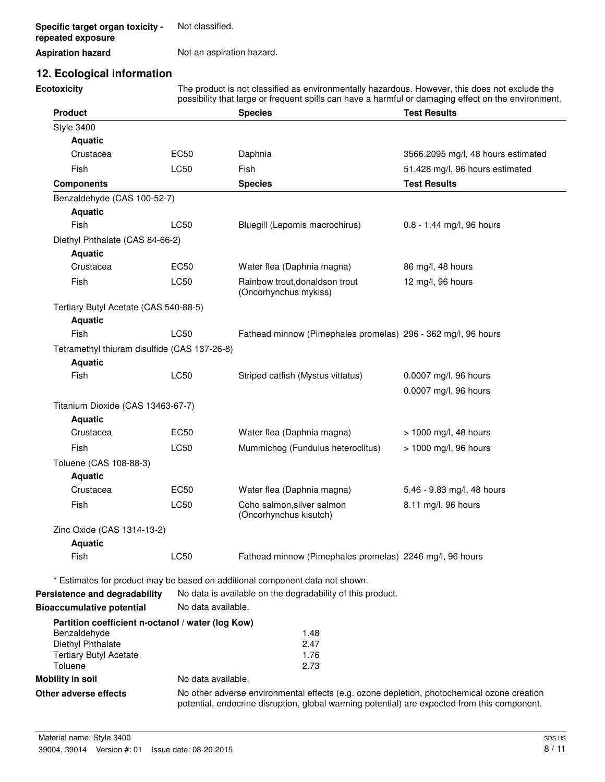**Specific target organ toxicity repeated exposure** Not classified.

#### **Aspiration hazard** Not an aspiration hazard.

# **12. Ecological information**

**Ecotoxicity** The product is not classified as environmentally hazardous. However, this does not exclude the possibility that large or frequent spills can have a harmful or damaging effect on the environment.

| <b>Product</b>                                                    |                    | <b>Species</b>                                                                                                                                                                             | <b>Test Results</b>                |
|-------------------------------------------------------------------|--------------------|--------------------------------------------------------------------------------------------------------------------------------------------------------------------------------------------|------------------------------------|
| <b>Style 3400</b>                                                 |                    |                                                                                                                                                                                            |                                    |
| <b>Aquatic</b>                                                    |                    |                                                                                                                                                                                            |                                    |
| Crustacea                                                         | <b>EC50</b>        | Daphnia                                                                                                                                                                                    | 3566.2095 mg/l, 48 hours estimated |
| Fish                                                              | LC50               | Fish                                                                                                                                                                                       | 51.428 mg/l, 96 hours estimated    |
| <b>Components</b>                                                 |                    | <b>Species</b>                                                                                                                                                                             | <b>Test Results</b>                |
| Benzaldehyde (CAS 100-52-7)                                       |                    |                                                                                                                                                                                            |                                    |
| <b>Aquatic</b>                                                    |                    |                                                                                                                                                                                            |                                    |
| Fish                                                              | LC50               | Bluegill (Lepomis macrochirus)                                                                                                                                                             | 0.8 - 1.44 mg/l, 96 hours          |
| Diethyl Phthalate (CAS 84-66-2)                                   |                    |                                                                                                                                                                                            |                                    |
| <b>Aquatic</b>                                                    |                    |                                                                                                                                                                                            |                                    |
| Crustacea                                                         | <b>EC50</b>        | Water flea (Daphnia magna)                                                                                                                                                                 | 86 mg/l, 48 hours                  |
| Fish                                                              | LC50               | Rainbow trout, donaldson trout<br>(Oncorhynchus mykiss)                                                                                                                                    | 12 mg/l, 96 hours                  |
| Tertiary Butyl Acetate (CAS 540-88-5)                             |                    |                                                                                                                                                                                            |                                    |
| <b>Aquatic</b>                                                    |                    |                                                                                                                                                                                            |                                    |
| Fish                                                              | LC50               | Fathead minnow (Pimephales promelas) 296 - 362 mg/l, 96 hours                                                                                                                              |                                    |
| Tetramethyl thiuram disulfide (CAS 137-26-8)                      |                    |                                                                                                                                                                                            |                                    |
| <b>Aquatic</b>                                                    |                    |                                                                                                                                                                                            |                                    |
| Fish                                                              | <b>LC50</b>        | Striped catfish (Mystus vittatus)                                                                                                                                                          | 0.0007 mg/l, 96 hours              |
|                                                                   |                    |                                                                                                                                                                                            | 0.0007 mg/l, 96 hours              |
| Titanium Dioxide (CAS 13463-67-7)                                 |                    |                                                                                                                                                                                            |                                    |
| <b>Aquatic</b>                                                    |                    |                                                                                                                                                                                            |                                    |
| Crustacea                                                         | <b>EC50</b>        | Water flea (Daphnia magna)                                                                                                                                                                 | $> 1000$ mg/l, 48 hours            |
| Fish                                                              | LC50               | Mummichog (Fundulus heteroclitus)                                                                                                                                                          | > 1000 mg/l, 96 hours              |
| Toluene (CAS 108-88-3)                                            |                    |                                                                                                                                                                                            |                                    |
| <b>Aquatic</b>                                                    |                    |                                                                                                                                                                                            |                                    |
| Crustacea                                                         | EC50               | Water flea (Daphnia magna)                                                                                                                                                                 | 5.46 - 9.83 mg/l, 48 hours         |
| Fish                                                              | LC50               | Coho salmon, silver salmon                                                                                                                                                                 | 8.11 mg/l, 96 hours                |
|                                                                   |                    | (Oncorhynchus kisutch)                                                                                                                                                                     |                                    |
| Zinc Oxide (CAS 1314-13-2)                                        |                    |                                                                                                                                                                                            |                                    |
| <b>Aquatic</b>                                                    |                    |                                                                                                                                                                                            |                                    |
| Fish                                                              | LC50               | Fathead minnow (Pimephales promelas) 2246 mg/l, 96 hours                                                                                                                                   |                                    |
|                                                                   |                    | * Estimates for product may be based on additional component data not shown.                                                                                                               |                                    |
| Persistence and degradability                                     |                    | No data is available on the degradability of this product.                                                                                                                                 |                                    |
| <b>Bioaccumulative potential</b>                                  | No data available. |                                                                                                                                                                                            |                                    |
|                                                                   |                    |                                                                                                                                                                                            |                                    |
| Partition coefficient n-octanol / water (log Kow)<br>Benzaldehyde |                    | 1.48                                                                                                                                                                                       |                                    |
| Diethyl Phthalate                                                 |                    | 2.47                                                                                                                                                                                       |                                    |
| <b>Tertiary Butyl Acetate</b>                                     |                    | 1.76                                                                                                                                                                                       |                                    |
| Toluene                                                           |                    | 2.73                                                                                                                                                                                       |                                    |
| <b>Mobility in soil</b>                                           | No data available. |                                                                                                                                                                                            |                                    |
| Other adverse effects                                             |                    | No other adverse environmental effects (e.g. ozone depletion, photochemical ozone creation<br>potential, endocrine disruption, global warming potential) are expected from this component. |                                    |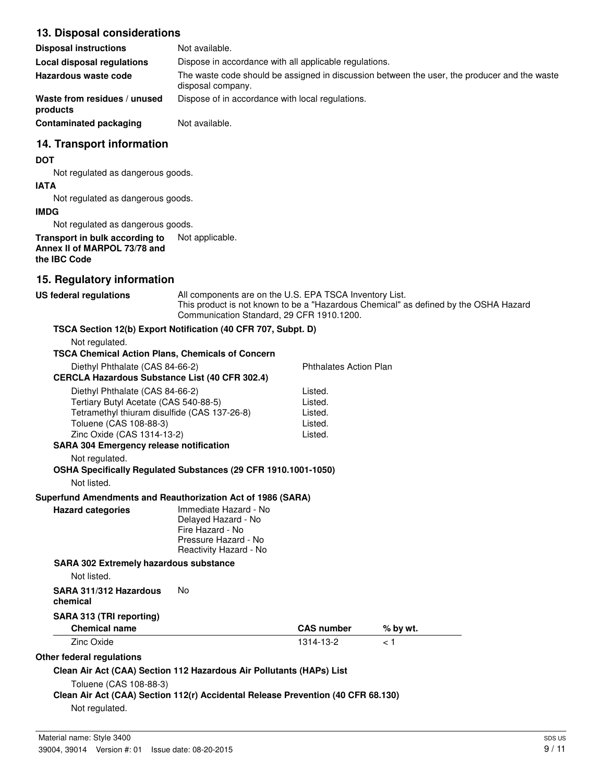## **13. Disposal considerations**

| <b>Disposal instructions</b>             | Not available.                                                                                                    |
|------------------------------------------|-------------------------------------------------------------------------------------------------------------------|
| Local disposal regulations               | Dispose in accordance with all applicable regulations.                                                            |
| Hazardous waste code                     | The waste code should be assigned in discussion between the user, the producer and the waste<br>disposal company. |
| Waste from residues / unused<br>products | Dispose of in accordance with local regulations.                                                                  |
| <b>Contaminated packaging</b>            | Not available.                                                                                                    |

## **14. Transport information**

#### **DOT**

Not regulated as dangerous goods.

#### **IATA**

Not regulated as dangerous goods.

#### **IMDG**

Not regulated as dangerous goods.

#### **Transport in bulk according to** Not applicable. **Annex II of MARPOL 73/78 and the IBC Code**

# **15. Regulatory information**

**US federal regulations** All components are on the U.S. EPA TSCA Inventory List. This product is not known to be a "Hazardous Chemical" as defined by the OSHA Hazard Communication Standard, 29 CFR 1910.1200.

#### **TSCA Section 12(b) Export Notification (40 CFR 707, Subpt. D)**

| Not regulated.<br><b>TSCA Chemical Action Plans, Chemicals of Concern</b>         |                                                                                                                    |                               |          |  |
|-----------------------------------------------------------------------------------|--------------------------------------------------------------------------------------------------------------------|-------------------------------|----------|--|
|                                                                                   |                                                                                                                    | <b>Phthalates Action Plan</b> |          |  |
| Diethyl Phthalate (CAS 84-66-2)<br>CERCLA Hazardous Substance List (40 CFR 302.4) |                                                                                                                    |                               |          |  |
|                                                                                   |                                                                                                                    |                               |          |  |
| Diethyl Phthalate (CAS 84-66-2)<br>Tertiary Butyl Acetate (CAS 540-88-5)          |                                                                                                                    | Listed.<br>Listed.            |          |  |
| Tetramethyl thiuram disulfide (CAS 137-26-8)                                      |                                                                                                                    | Listed.                       |          |  |
| Toluene (CAS 108-88-3)                                                            |                                                                                                                    | Listed.                       |          |  |
| Zinc Oxide (CAS 1314-13-2)                                                        |                                                                                                                    | Listed.                       |          |  |
| <b>SARA 304 Emergency release notification</b>                                    |                                                                                                                    |                               |          |  |
| Not regulated.                                                                    |                                                                                                                    |                               |          |  |
| OSHA Specifically Regulated Substances (29 CFR 1910.1001-1050)                    |                                                                                                                    |                               |          |  |
| Not listed.                                                                       |                                                                                                                    |                               |          |  |
| Superfund Amendments and Reauthorization Act of 1986 (SARA)                       |                                                                                                                    |                               |          |  |
| <b>Hazard categories</b>                                                          | Immediate Hazard - No<br>Delayed Hazard - No<br>Fire Hazard - No<br>Pressure Hazard - No<br>Reactivity Hazard - No |                               |          |  |
| <b>SARA 302 Extremely hazardous substance</b>                                     |                                                                                                                    |                               |          |  |
| Not listed.                                                                       |                                                                                                                    |                               |          |  |
| SARA 311/312 Hazardous<br>chemical                                                | No                                                                                                                 |                               |          |  |
| SARA 313 (TRI reporting)                                                          |                                                                                                                    |                               |          |  |
| <b>Chemical name</b>                                                              |                                                                                                                    | <b>CAS number</b>             | % by wt. |  |
| Zinc Oxide                                                                        |                                                                                                                    | 1314-13-2                     | $\leq 1$ |  |
| Other federal regulations                                                         |                                                                                                                    |                               |          |  |
| Clean Air Act (CAA) Section 112 Hazardous Air Pollutants (HAPs) List              |                                                                                                                    |                               |          |  |
| Toluene (CAS 108-88-3)                                                            |                                                                                                                    |                               |          |  |
| Clean Air Act (CAA) Section 112(r) Accidental Release Prevention (40 CFR 68.130)  |                                                                                                                    |                               |          |  |
| Not regulated.                                                                    |                                                                                                                    |                               |          |  |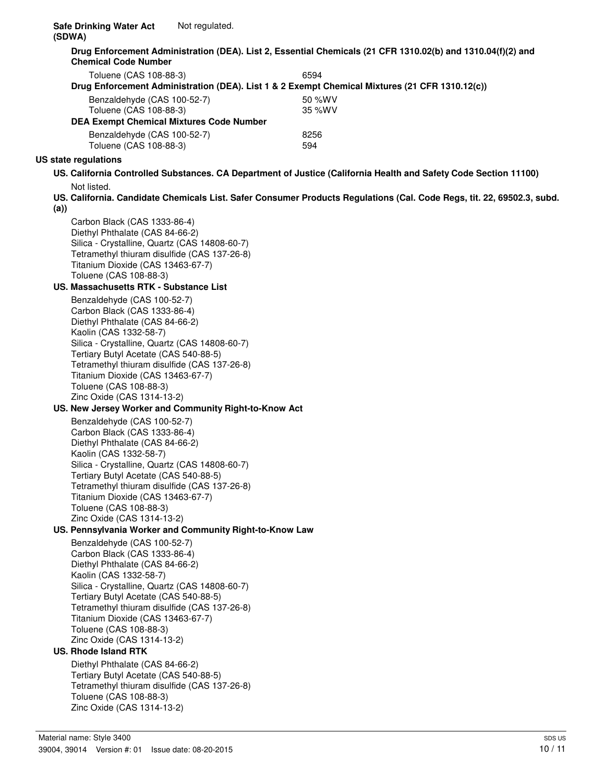**Drug Enforcement Administration (DEA). List 2, Essential Chemicals (21 CFR 1310.02(b) and 1310.04(f)(2) and Chemical Code Number**

| Toluene (CAS 108-88-3)                                                                         | 6594   |  |
|------------------------------------------------------------------------------------------------|--------|--|
| Drug Enforcement Administration (DEA). List 1 & 2 Exempt Chemical Mixtures (21 CFR 1310.12(c)) |        |  |
| Benzaldehyde (CAS 100-52-7)                                                                    | 50 %WV |  |
| Toluene (CAS 108-88-3)                                                                         | 35 %WV |  |
| <b>DEA Exempt Chemical Mixtures Code Number</b>                                                |        |  |
| Benzaldehyde (CAS 100-52-7)                                                                    | 8256   |  |
| Toluene (CAS 108-88-3)                                                                         | 594    |  |

#### **US state regulations**

- **US. California Controlled Substances. CA Department of Justice (California Health and Safety Code Section 11100)** Not listed.
- **US. California. Candidate Chemicals List. Safer Consumer Products Regulations (Cal. Code Regs, tit. 22, 69502.3, subd. (a))**

Carbon Black (CAS 1333-86-4) Diethyl Phthalate (CAS 84-66-2) Silica - Crystalline, Quartz (CAS 14808-60-7) Tetramethyl thiuram disulfide (CAS 137-26-8) Titanium Dioxide (CAS 13463-67-7) Toluene (CAS 108-88-3)

#### **US. Massachusetts RTK - Substance List**

Benzaldehyde (CAS 100-52-7) Carbon Black (CAS 1333-86-4) Diethyl Phthalate (CAS 84-66-2) Kaolin (CAS 1332-58-7) Silica - Crystalline, Quartz (CAS 14808-60-7) Tertiary Butyl Acetate (CAS 540-88-5) Tetramethyl thiuram disulfide (CAS 137-26-8) Titanium Dioxide (CAS 13463-67-7) Toluene (CAS 108-88-3) Zinc Oxide (CAS 1314-13-2)

#### **US. New Jersey Worker and Community Right-to-Know Act**

Benzaldehyde (CAS 100-52-7) Carbon Black (CAS 1333-86-4) Diethyl Phthalate (CAS 84-66-2) Kaolin (CAS 1332-58-7) Silica - Crystalline, Quartz (CAS 14808-60-7) Tertiary Butyl Acetate (CAS 540-88-5) Tetramethyl thiuram disulfide (CAS 137-26-8) Titanium Dioxide (CAS 13463-67-7) Toluene (CAS 108-88-3) Zinc Oxide (CAS 1314-13-2)

#### **US. Pennsylvania Worker and Community Right-to-Know Law**

Benzaldehyde (CAS 100-52-7) Carbon Black (CAS 1333-86-4) Diethyl Phthalate (CAS 84-66-2) Kaolin (CAS 1332-58-7) Silica - Crystalline, Quartz (CAS 14808-60-7) Tertiary Butyl Acetate (CAS 540-88-5) Tetramethyl thiuram disulfide (CAS 137-26-8) Titanium Dioxide (CAS 13463-67-7) Toluene (CAS 108-88-3) Zinc Oxide (CAS 1314-13-2)

#### **US. Rhode Island RTK**

Diethyl Phthalate (CAS 84-66-2) Tertiary Butyl Acetate (CAS 540-88-5) Tetramethyl thiuram disulfide (CAS 137-26-8) Toluene (CAS 108-88-3) Zinc Oxide (CAS 1314-13-2)